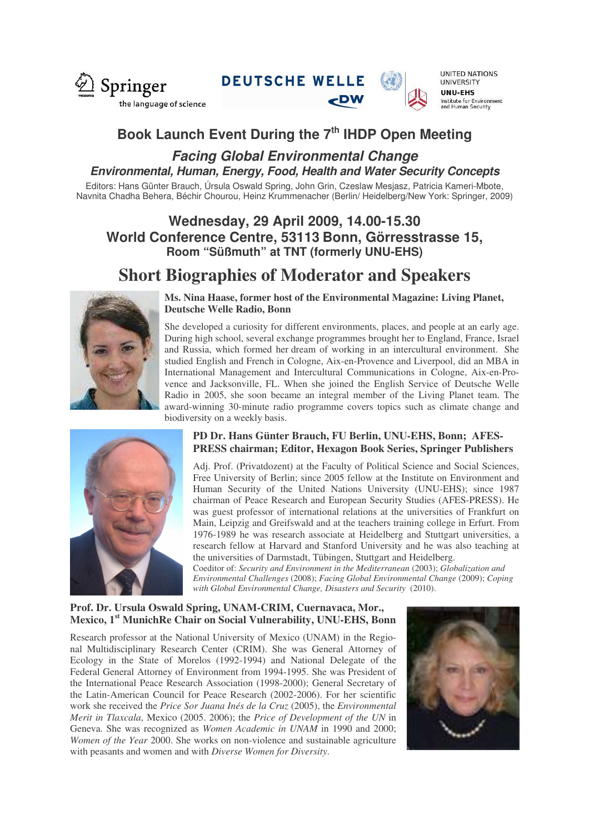

**DEUTSCHE WELLE** 



**UNITED NATIONS UNIVERSITY UNU-EHS** Institute for Environment<br>and Human Security

# **Book Launch Event During the 7 th IHDP Open Meeting**

## *Facing Global Environmental Change Environmental, Human, Energy, Food, Health and Water Security Concepts*

Editors: Hans Günter Brauch, Úrsula Oswald Spring, John Grin, Czeslaw Mesjasz, Patricia Kameri-Mbote, Navnita Chadha Behera, Béchir Chourou, Heinz Krummenacher (Berlin/ Heidelberg/New York: Springer, 2009)

## **Wednesday, 29 April 2009, 14.00-15.30 World Conference Centre, 53113 Bonn, Görresstrasse 15, Room "Süßmuth" at TNT (formerly UNU-EHS)**

# **Short Biographies of Moderator and Speakers**



**Ms. Nina Haase, former host of the Environmental Magazine: Living Planet, Deutsche Welle Radio, Bonn**

She developed a curiosity for different environments, places, and people at an early age. During high school, several exchange programmes brought her to England, France, Israel and Russia, which formed her dream of working in an intercultural environment. She studied English and French in Cologne, Aix-en-Provence and Liverpool, did an MBA in International Management and Intercultural Communications in Cologne, Aix-en-Provence and Jacksonville, FL. When she joined the English Service of Deutsche Welle Radio in 2005, she soon became an integral member of the Living Planet team. The award-winning 30-minute radio programme covers topics such as climate change and biodiversity on a weekly basis.



### **PD Dr. Hans Günter Brauch, FU Berlin, UNU-EHS, Bonn; AFES-PRESS chairman; Editor, Hexagon Book Series, Springer Publishers**

Adj. Prof. (Privatdozent) at the Faculty of Political Science and Social Sciences, Free University of Berlin; since 2005 fellow at the Institute on Environment and Human Security of the United Nations University (UNU-EHS); since 1987 chairman of Peace Research and European Security Studies (AFES-PRESS). He was guest professor of international relations at the universities of Frankfurt on Main, Leipzig and Greifswald and at the teachers training college in Erfurt. From 1976-1989 he was research associate at Heidelberg and Stuttgart universities, a research fellow at Harvard and Stanford University and he was also teaching at the universities of Darmstadt, Tübingen, Stuttgart and Heidelberg.

Coeditor of: *Security and Environment in the Mediterranean* (2003); *Globalization and Environmental Challenges* (2008); *Facing Global Environmental Change* (2009); *Coping with Global Environmental Change, Disasters and Security* (2010).

### **Prof. Dr. Ursula Oswald Spring, UNAM-CRIM, Cuernavaca, Mor., Mexico, 1 st MunichRe Chair on Social Vulnerability, UNU-EHS, Bonn**

Research professor at the National University of Mexico (UNAM) in the Regional Multidisciplinary Research Center (CRIM). She was General Attorney of Ecology in the State of Morelos (1992-1994) and National Delegate of the Federal General Attorney of Environment from 1994-1995. She was President of the International Peace Research Association (1998-2000); General Secretary of the Latin-American Council for Peace Research (2002-2006). For her scientific work she received the *Price Sor Juana Inés de la Cruz* (2005), the *Environmental Merit in Tlaxcala*, Mexico (2005. 2006); the *Price of Development of the UN* in Geneva. She was recognized as *Women Academic in UNAM* in 1990 and 2000; *Women of the Year* 2000. She works on non-violence and sustainable agriculture with peasants and women and with *Diverse Women for Diversity*.